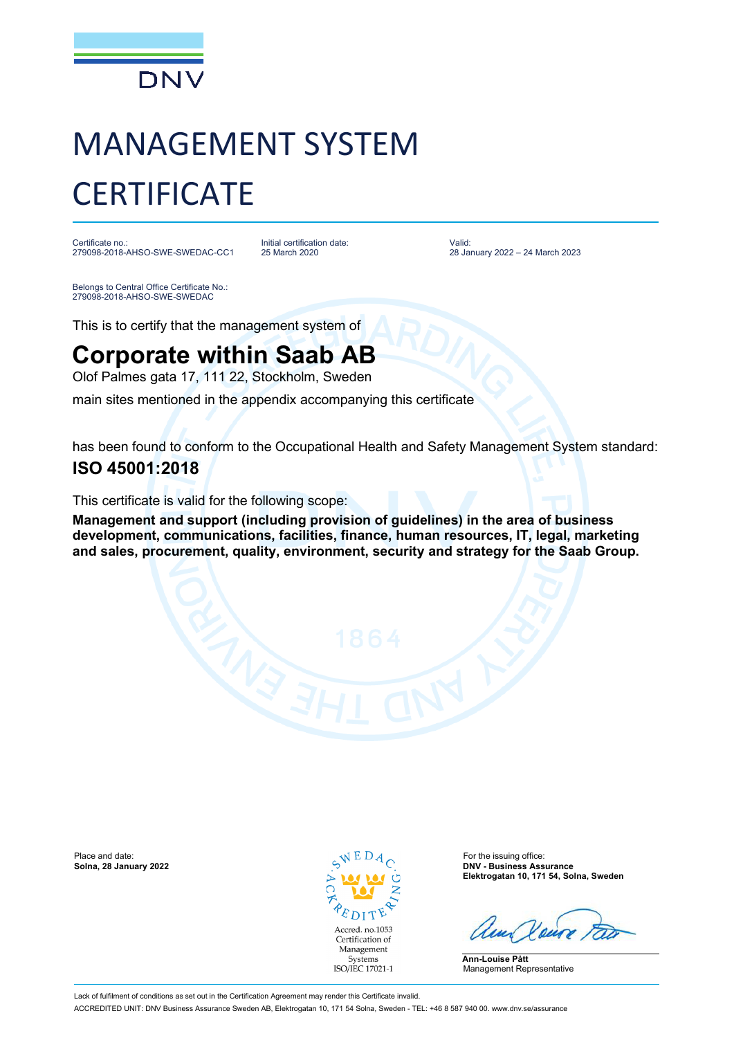

# MANAGEMENT SYSTEM **CERTIFICATE**

Certificate no.: 279098-2018-AHSO-SWE-SWEDAC-CC1 Initial certification date: 25 March 2020

Valid: 28 January 2022 – 24 March 2023

Belongs to Central Office Certificate No.: 279098-2018-AHSO-SWE-SWEDAC

This is to certify that the management system of

## **Corporate within Saab AB**

Olof Palmes gata 17, 111 22, Stockholm, Sweden

main sites mentioned in the appendix accompanying this certificate

has been found to conform to the Occupational Health and Safety Management System standard:

### **ISO 45001:2018**

This certificate is valid for the following scope:

**Management and support (including provision of guidelines) in the area of business development, communications, facilities, finance, human resources, IT, legal, marketing and sales, procurement, quality, environment, security and strategy for the Saab Group.**

Place and date: **Solina, 28 January 2022 Solina, 28 January 2022 Solina, 28 January 2022 Solina, 28 January 2022 Solina, 28 January 2022** 



**Solna, 28 January 2022 DNV - Business Assurance Elektrogatan 10, 171 54, Solna, Sweden**

**Ann-Louise Pått** Management Representative

Lack of fulfilment of conditions as set out in the Certification Agreement may render this Certificate invalid. ACCREDITED UNIT: DNV Business Assurance Sweden AB, Elektrogatan 10, 171 54 Solna, Sweden - TEL: +46 8 587 940 00. www.dnv.se/assurance